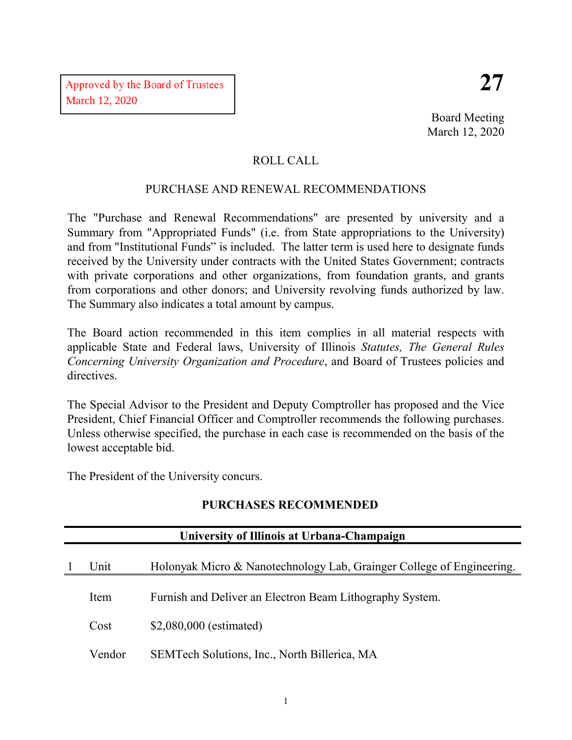Board Meeting March 12, 2020

## ROLL CALL

## PURCHASE AND RENEWAL RECOMMENDATIONS

The "Purchase and Renewal Recommendations" are presented by university and a Summary from "Appropriated Funds" (i.e. from State appropriations to the University) and from "Institutional Funds" is included. The latter term is used here to designate funds received by the University under contracts with the United States Government; contracts with private corporations and other organizations, from foundation grants, and grants from corporations and other donors; and University revolving funds authorized by law. The Summary also indicates a total amount by campus.

The Board action recommended in this item complies in all material respects with applicable State and Federal laws, University of Illinois *Statutes, The General Rules Concerning University Organization and Procedure*, and Board of Trustees policies and directives.

The Special Advisor to the President and Deputy Comptroller has proposed and the Vice President, Chief Financial Officer and Comptroller recommends the following purchases. Unless otherwise specified, the purchase in each case is recommended on the basis of the lowest acceptable bid.

The President of the University concurs.

| University of Illinois at Urbana-Champaign |                                                                       |  |  |  |  |
|--------------------------------------------|-----------------------------------------------------------------------|--|--|--|--|
| Unit                                       | Holonyak Micro & Nanotechnology Lab, Grainger College of Engineering. |  |  |  |  |
| Item                                       | Furnish and Deliver an Electron Beam Lithography System.              |  |  |  |  |
| Cost                                       | \$2,080,000 (estimated)                                               |  |  |  |  |
| Vendor                                     | SEMTech Solutions, Inc., North Billerica, MA                          |  |  |  |  |

# **PURCHASES RECOMMENDED**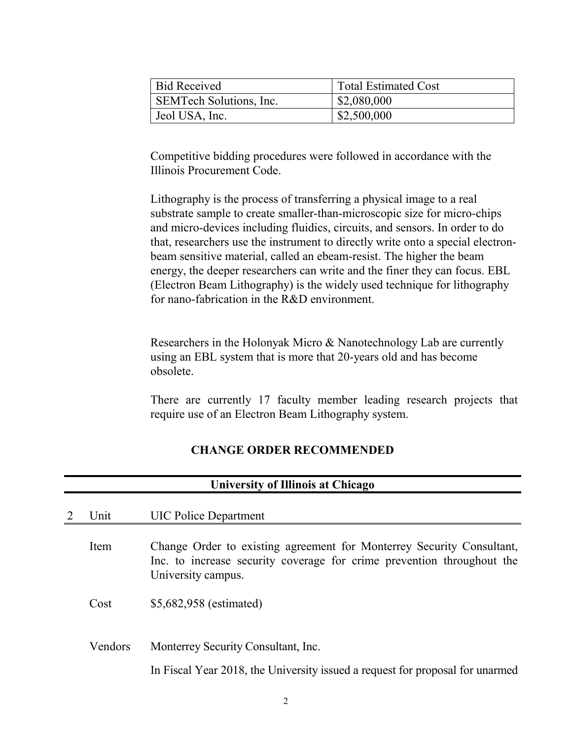| <b>Bid Received</b>     | <b>Total Estimated Cost</b> |
|-------------------------|-----------------------------|
| SEMTech Solutions, Inc. | \$2,080,000                 |
| Jeol USA, Inc.          | \$2,500,000                 |

Competitive bidding procedures were followed in accordance with the Illinois Procurement Code.

Lithography is the process of transferring a physical image to a real substrate sample to create smaller-than-microscopic size for micro-chips and micro-devices including fluidics, circuits, and sensors. In order to do that, researchers use the instrument to directly write onto a special electronbeam sensitive material, called an ebeam-resist. The higher the beam energy, the deeper researchers can write and the finer they can focus. EBL (Electron Beam Lithography) is the widely used technique for lithography for nano-fabrication in the R&D environment.

Researchers in the Holonyak Micro & Nanotechnology Lab are currently using an EBL system that is more that 20-years old and has become obsolete.

There are currently 17 faculty member leading research projects that require use of an Electron Beam Lithography system.

#### **CHANGE ORDER RECOMMENDED**

|   | University of Illinois at Chicago |                                                                                                                                                                       |  |  |  |
|---|-----------------------------------|-----------------------------------------------------------------------------------------------------------------------------------------------------------------------|--|--|--|
| 2 | Unit                              | <b>UIC Police Department</b>                                                                                                                                          |  |  |  |
|   | Item                              | Change Order to existing agreement for Monterrey Security Consultant,<br>Inc. to increase security coverage for crime prevention throughout the<br>University campus. |  |  |  |
|   | Cost                              | \$5,682,958 (estimated)                                                                                                                                               |  |  |  |
|   | Vendors                           | Monterrey Security Consultant, Inc.                                                                                                                                   |  |  |  |
|   |                                   | In Fiscal Year 2018, the University issued a request for proposal for unarmed                                                                                         |  |  |  |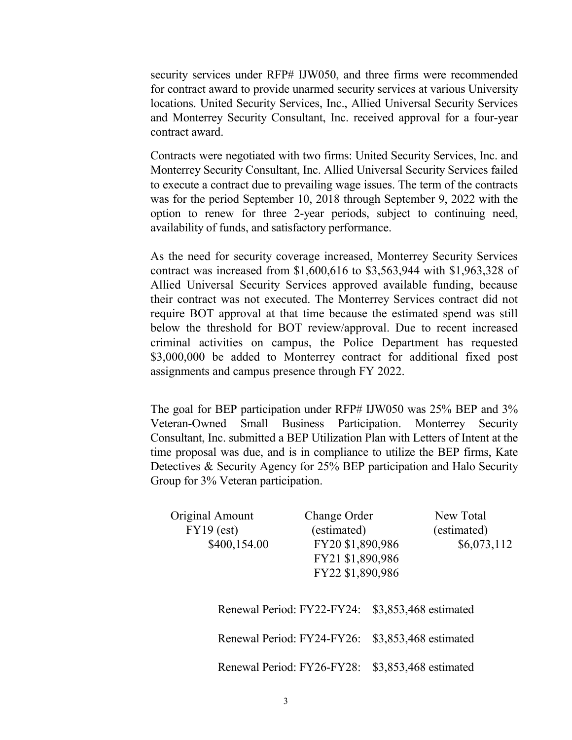security services under RFP# IJW050, and three firms were recommended for contract award to provide unarmed security services at various University locations. United Security Services, Inc., Allied Universal Security Services and Monterrey Security Consultant, Inc. received approval for a four-year contract award.

Contracts were negotiated with two firms: United Security Services, Inc. and Monterrey Security Consultant, Inc. Allied Universal Security Services failed to execute a contract due to prevailing wage issues. The term of the contracts was for the period September 10, 2018 through September 9, 2022 with the option to renew for three 2-year periods, subject to continuing need, availability of funds, and satisfactory performance.

As the need for security coverage increased, Monterrey Security Services contract was increased from \$1,600,616 to \$3,563,944 with \$1,963,328 of Allied Universal Security Services approved available funding, because their contract was not executed. The Monterrey Services contract did not require BOT approval at that time because the estimated spend was still below the threshold for BOT review/approval. Due to recent increased criminal activities on campus, the Police Department has requested \$3,000,000 be added to Monterrey contract for additional fixed post assignments and campus presence through FY 2022.

The goal for BEP participation under RFP# IJW050 was 25% BEP and 3% Veteran-Owned Small Business Participation. Monterrey Security Consultant, Inc. submitted a BEP Utilization Plan with Letters of Intent at the time proposal was due, and is in compliance to utilize the BEP firms, Kate Detectives & Security Agency for 25% BEP participation and Halo Security Group for 3% Veteran participation.

| (estimated)<br>$FY19$ (est)<br>(estimated)<br>FY20 \$1,890,986<br>\$400,154.00<br>\$6,073,112<br>FY21 \$1,890,986<br>FY22 \$1,890,986 |  |
|---------------------------------------------------------------------------------------------------------------------------------------|--|
|                                                                                                                                       |  |
|                                                                                                                                       |  |
|                                                                                                                                       |  |
|                                                                                                                                       |  |
|                                                                                                                                       |  |
| Renewal Period: FY22-FY24:<br>\$3,853,468 estimated                                                                                   |  |
| Renewal Period: FY24-FY26:<br>\$3,853,468 estimated                                                                                   |  |
| Renewal Period: FY26-FY28:<br>\$3,853,468 estimated                                                                                   |  |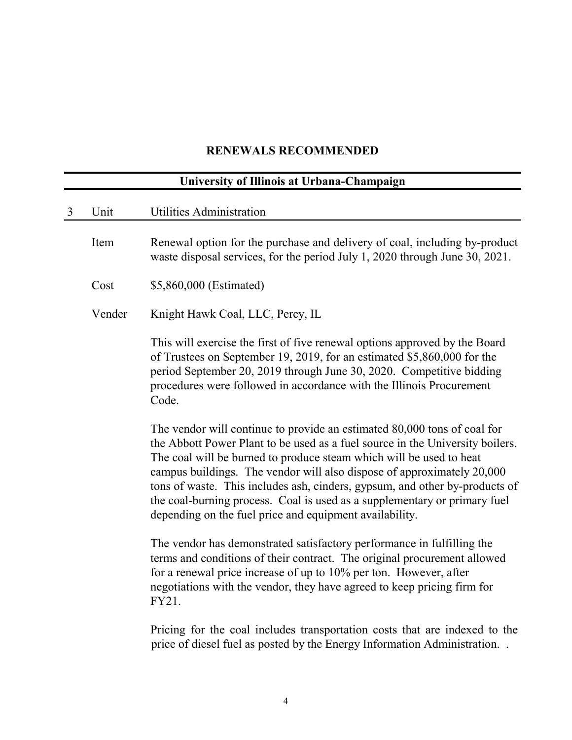## **RENEWALS RECOMMENDED**

| University of Illinois at Urbana-Champaign |        |                                                                                                                                                                                                                                                                                                                                                                                                                                                                                                                                   |  |  |
|--------------------------------------------|--------|-----------------------------------------------------------------------------------------------------------------------------------------------------------------------------------------------------------------------------------------------------------------------------------------------------------------------------------------------------------------------------------------------------------------------------------------------------------------------------------------------------------------------------------|--|--|
| 3                                          | Unit   | <b>Utilities Administration</b>                                                                                                                                                                                                                                                                                                                                                                                                                                                                                                   |  |  |
|                                            | Item   | Renewal option for the purchase and delivery of coal, including by-product<br>waste disposal services, for the period July 1, 2020 through June 30, 2021.                                                                                                                                                                                                                                                                                                                                                                         |  |  |
|                                            | Cost   | \$5,860,000 (Estimated)                                                                                                                                                                                                                                                                                                                                                                                                                                                                                                           |  |  |
|                                            | Vender | Knight Hawk Coal, LLC, Percy, IL                                                                                                                                                                                                                                                                                                                                                                                                                                                                                                  |  |  |
|                                            |        | This will exercise the first of five renewal options approved by the Board<br>of Trustees on September 19, 2019, for an estimated \$5,860,000 for the<br>period September 20, 2019 through June 30, 2020. Competitive bidding<br>procedures were followed in accordance with the Illinois Procurement<br>Code.                                                                                                                                                                                                                    |  |  |
|                                            |        | The vendor will continue to provide an estimated 80,000 tons of coal for<br>the Abbott Power Plant to be used as a fuel source in the University boilers.<br>The coal will be burned to produce steam which will be used to heat<br>campus buildings. The vendor will also dispose of approximately 20,000<br>tons of waste. This includes ash, cinders, gypsum, and other by-products of<br>the coal-burning process. Coal is used as a supplementary or primary fuel<br>depending on the fuel price and equipment availability. |  |  |
|                                            |        | The vendor has demonstrated satisfactory performance in fulfilling the<br>terms and conditions of their contract. The original procurement allowed<br>for a renewal price increase of up to $10\%$ per ton. However, after<br>negotiations with the vendor, they have agreed to keep pricing firm for<br>FY21.                                                                                                                                                                                                                    |  |  |
|                                            |        | Pricing for the coal includes transportation costs that are indexed to the<br>price of diesel fuel as posted by the Energy Information Administration                                                                                                                                                                                                                                                                                                                                                                             |  |  |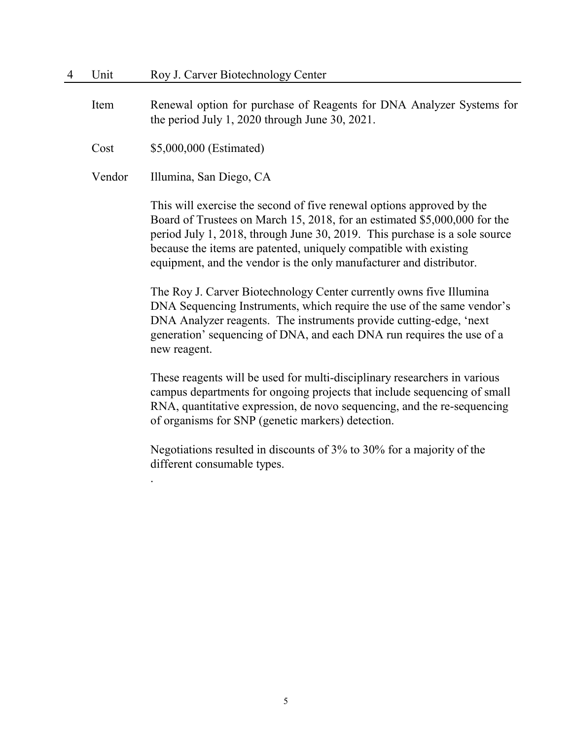Item Renewal option for purchase of Reagents for DNA Analyzer Systems for the period July 1, 2020 through June 30, 2021.

Cost \$5,000,000 (Estimated)

Vendor Illumina, San Diego, CA

.

This will exercise the second of five renewal options approved by the Board of Trustees on March 15, 2018, for an estimated \$5,000,000 for the period July 1, 2018, through June 30, 2019. This purchase is a sole source because the items are patented, uniquely compatible with existing equipment, and the vendor is the only manufacturer and distributor.

The Roy J. Carver Biotechnology Center currently owns five Illumina DNA Sequencing Instruments, which require the use of the same vendor's DNA Analyzer reagents. The instruments provide cutting-edge, 'next generation' sequencing of DNA, and each DNA run requires the use of a new reagent.

These reagents will be used for multi-disciplinary researchers in various campus departments for ongoing projects that include sequencing of small RNA, quantitative expression, de novo sequencing, and the re-sequencing of organisms for SNP (genetic markers) detection.

Negotiations resulted in discounts of 3% to 30% for a majority of the different consumable types.